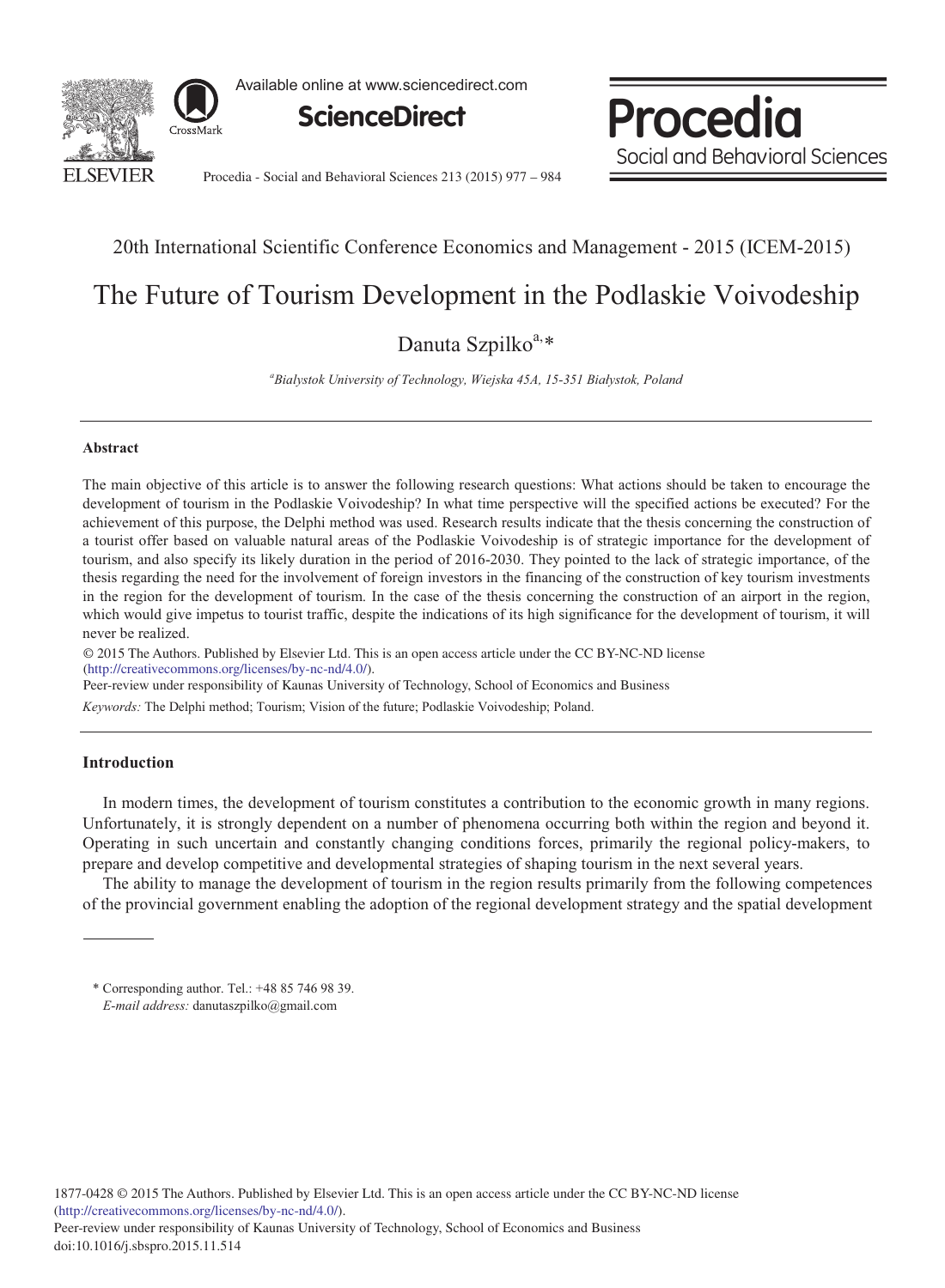

Available online at www.sciencedirect.com



Procedia Social and Behavioral Sciences

Procedia - Social and Behavioral Sciences 213 (2015) 977 – 984

### 20th International Scientific Conference Economics and Management - 2015 (ICEM-2015)

## The Future of Tourism Development in the Podlaskie Voivodeship

### Danuta Szpilko<sup>a,\*</sup>

<sup>a</sup>Bialystok University of Technology, Wiejska 45A, 15-351 Białystok, Polana

#### **Abstract**

The main objective of this article is to answer the following research questions: What actions should be taken to encourage the development of tourism in the Podlaskie Voivodeship? In what time perspective will the specified actions be executed? For the achievement of this purpose, the Delphi method was used. Research results indicate that the thesis concerning the construction of a tourist offer based on valuable natural areas of the Podlaskie Voivodeship is of strategic importance for the development of tourism, and also specify its likely duration in the period of 2016-2030. They pointed to the lack of strategic importance, of the thesis regarding the need for the involvement of foreign investors in the financing of the construction of key tourism investments in the region for the development of tourism. In the case of the thesis concerning the construction of an airport in the region, which would give impetus to tourist traffic, despite the indications of its high significance for the development of tourism, it will never be realized.

© 2015 The Authors. Published by Elsevier Ltd. © 2015 The Authors. Published by Elsevier Ltd. This is an open access article under the CC BY-NC-ND license (http://creativecommons.org/licenses/by-nc-nd/4.0/).

Peer-review under responsibility of Kaunas University of Technology, School of Economics and Business

*Keywords:* The Delphi method; Tourism; Vision of the future; Podlaskie Voivodeship; Poland.

#### **Introduction**

In modern times, the development of tourism constitutes a contribution to the economic growth in many regions. Unfortunately, it is strongly dependent on a number of phenomena occurring both within the region and beyond it. Operating in such uncertain and constantly changing conditions forces, primarily the regional policy-makers, to prepare and develop competitive and developmental strategies of shaping tourism in the next several years.

The ability to manage the development of tourism in the region results primarily from the following competences of the provincial government enabling the adoption of the regional development strategy and the spatial development

<sup>\*</sup> Corresponding author. Tel.: +48 85 746 98 39. *E-mail address:* danutaszpilko@gmail.com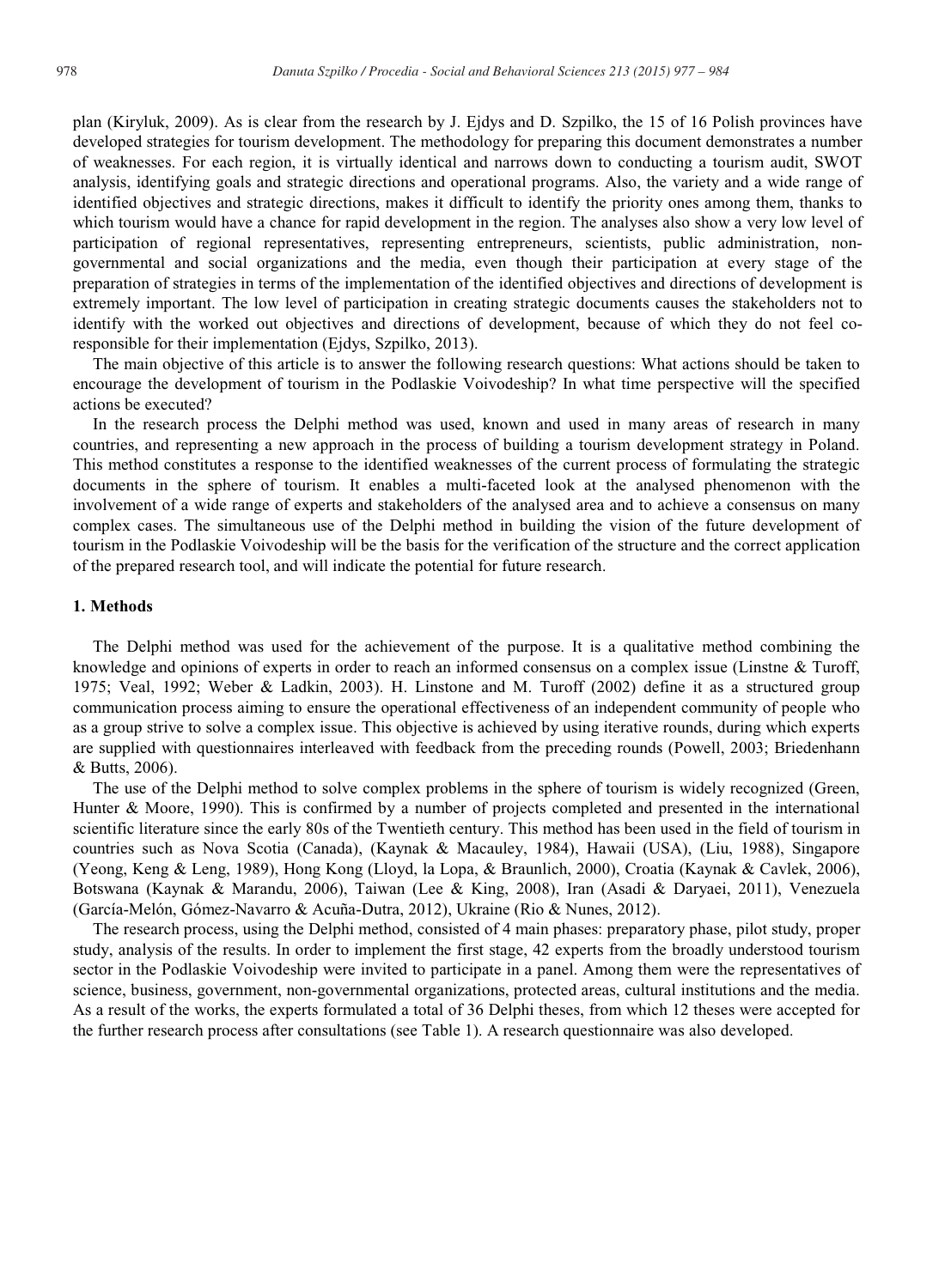plan (Kiryluk, 2009). As is clear from the research by J. Ejdys and D. Szpilko, the 15 of 16 Polish provinces have developed strategies for tourism development. The methodology for preparing this document demonstrates a number of weaknesses. For each region, it is virtually identical and narrows down to conducting a tourism audit, SWOT analysis, identifying goals and strategic directions and operational programs. Also, the variety and a wide range of identified objectives and strategic directions, makes it difficult to identify the priority ones among them, thanks to which tourism would have a chance for rapid development in the region. The analyses also show a very low level of participation of regional representatives, representing entrepreneurs, scientists, public administration, nongovernmental and social organizations and the media, even though their participation at every stage of the preparation of strategies in terms of the implementation of the identified objectives and directions of development is extremely important. The low level of participation in creating strategic documents causes the stakeholders not to identify with the worked out objectives and directions of development, because of which they do not feel coresponsible for their implementation (Ejdys, Szpilko, 2013).

The main objective of this article is to answer the following research questions: What actions should be taken to encourage the development of tourism in the Podlaskie Voivodeship? In what time perspective will the specified actions be executed?

In the research process the Delphi method was used, known and used in many areas of research in many countries, and representing a new approach in the process of building a tourism development strategy in Poland. This method constitutes a response to the identified weaknesses of the current process of formulating the strategic documents in the sphere of tourism. It enables a multi-faceted look at the analysed phenomenon with the involvement of a wide range of experts and stakeholders of the analysed area and to achieve a consensus on many complex cases. The simultaneous use of the Delphi method in building the vision of the future development of tourism in the Podlaskie Voivodeship will be the basis for the verification of the structure and the correct application of the prepared research tool, and will indicate the potential for future research.

#### **1. Methods**

The Delphi method was used for the achievement of the purpose. It is a qualitative method combining the knowledge and opinions of experts in order to reach an informed consensus on a complex issue (Linstne & Turoff, 1975; Veal, 1992; Weber & Ladkin, 2003). H. Linstone and M. Turoff (2002) define it as a structured group communication process aiming to ensure the operational effectiveness of an independent community of people who as a group strive to solve a complex issue. This objective is achieved by using iterative rounds, during which experts are supplied with questionnaires interleaved with feedback from the preceding rounds (Powell, 2003; Briedenhann & Butts, 2006).

The use of the Delphi method to solve complex problems in the sphere of tourism is widely recognized (Green, Hunter & Moore, 1990). This is confirmed by a number of projects completed and presented in the international scientific literature since the early 80s of the Twentieth century. This method has been used in the field of tourism in countries such as Nova Scotia (Canada), (Kaynak & Macauley, 1984), Hawaii (USA), (Liu, 1988), Singapore (Yeong, Keng & Leng, 1989), Hong Kong (Lloyd, la Lopa, & Braunlich, 2000), Croatia (Kaynak & Cavlek, 2006), Botswana (Kaynak & Marandu, 2006), Taiwan (Lee & King, 2008), Iran (Asadi & Daryaei, 2011), Venezuela (García-Melón, Gómez-Navarro & Acuña-Dutra, 2012), Ukraine (Rio & Nunes, 2012).

The research process, using the Delphi method, consisted of 4 main phases: preparatory phase, pilot study, proper study, analysis of the results. In order to implement the first stage, 42 experts from the broadly understood tourism sector in the Podlaskie Voivodeship were invited to participate in a panel. Among them were the representatives of science, business, government, non-governmental organizations, protected areas, cultural institutions and the media. As a result of the works, the experts formulated a total of 36 Delphi theses, from which 12 theses were accepted for the further research process after consultations (see Table 1). A research questionnaire was also developed.